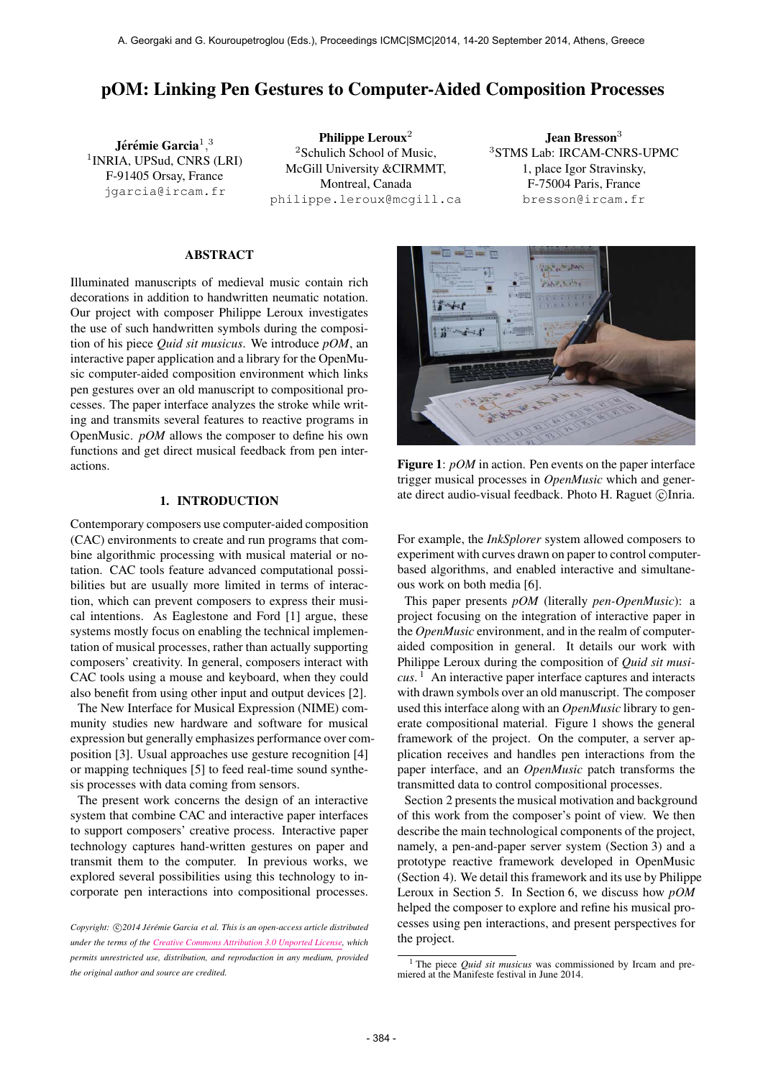# pOM: Linking Pen Gestures to Computer-Aided Composition Processes

Jérémie Garcia $^1,^3$ 1 INRIA, UPSud, CNRS (LRI) F-91405 Orsay, France [jgarcia@ircam.fr](mailto:jgarcia@ircam.fr)

Philippe Leroux<sup>2</sup> <sup>2</sup>Schulich School of Music, McGill University &CIRMMT, Montreal, Canada [philippe.leroux@mcgill.ca](mailto:philippe.leroux@mcgill.ca)

Jean Bresson<sup>3</sup> <sup>3</sup>STMS Lab: IRCAM-CNRS-UPMC 1, place Igor Stravinsky, F-75004 Paris, France [bresson@ircam.fr](mailto:bresson@ircam.fr)

# ABSTRACT

Illuminated manuscripts of medieval music contain rich decorations in addition to handwritten neumatic notation. Our project with composer Philippe Leroux investigates the use of such handwritten symbols during the composition of his piece *Quid sit musicus*. We introduce *pOM*, an interactive paper application and a library for the OpenMusic computer-aided composition environment which links pen gestures over an old manuscript to compositional processes. The paper interface analyzes the stroke while writing and transmits several features to reactive programs in OpenMusic. *pOM* allows the composer to define his own functions and get direct musical feedback from pen interactions.

## 1. INTRODUCTION

Contemporary composers use computer-aided composition (CAC) environments to create and run programs that combine algorithmic processing with musical material or notation. CAC tools feature advanced computational possibilities but are usually more limited in terms of interaction, which can prevent composers to express their musical intentions. As Eaglestone and Ford [1] argue, these systems mostly focus on enabling the technical implementation of musical processes, rather than actually supporting composers' creativity. In general, composers interact with CAC tools using a mouse and keyboard, when they could also benefit from using other input and output devices [2].

The New Interface for Musical Expression (NIME) community studies new hardware and software for musical expression but generally emphasizes performance over composition [3]. Usual approaches use gesture recognition [4] or mapping techniques [5] to feed real-time sound synthesis processes with data coming from sensors.

The present work concerns the design of an interactive system that combine CAC and interactive paper interfaces to support composers' creative process. Interactive paper technology captures hand-written gestures on paper and transmit them to the computer. In previous works, we explored several possibilities using this technology to incorporate pen interactions into compositional processes.



Figure 1: *pOM* in action. Pen events on the paper interface trigger musical processes in *OpenMusic* which and generate direct audio-visual feedback. Photo H. Raguet ©Inria.

For example, the *InkSplorer* system allowed composers to experiment with curves drawn on paper to control computerbased algorithms, and enabled interactive and simultaneous work on both media [6].

This paper presents *pOM* (literally *pen-OpenMusic*): a project focusing on the integration of interactive paper in the *OpenMusic* environment, and in the realm of computeraided composition in general. It details our work with Philippe Leroux during the composition of *Quid sit musicus*. 1 An interactive paper interface captures and interacts with drawn symbols over an old manuscript. The composer used this interface along with an *OpenMusic* library to generate compositional material. Figure 1 shows the general framework of the project. On the computer, a server application receives and handles pen interactions from the paper interface, and an *OpenMusic* patch transforms the transmitted data to control compositional processes.

Section 2 presents the musical motivation and background of this work from the composer's point of view. We then describe the main technological components of the project, namely, a pen-and-paper server system (Section 3) and a prototype reactive framework developed in OpenMusic (Section 4). We detail this framework and its use by Philippe Leroux in Section 5. In Section 6, we discuss how *pOM* helped the composer to explore and refine his musical processes using pen interactions, and present perspectives for the project.

Copyright:  $\bigcirc$ 2014 Jérémie Garcia et al. This is an open-access article distributed *under the terms of the [Creative Commons Attribution 3.0 Unported License,](http://creativecommons.org/licenses/by/3.0/) which permits unrestricted use, distribution, and reproduction in any medium, provided the original author and source are credited.*

<sup>1</sup> The piece *Quid sit musicus* was commissioned by Ircam and premiered at the Manifeste festival in June 2014.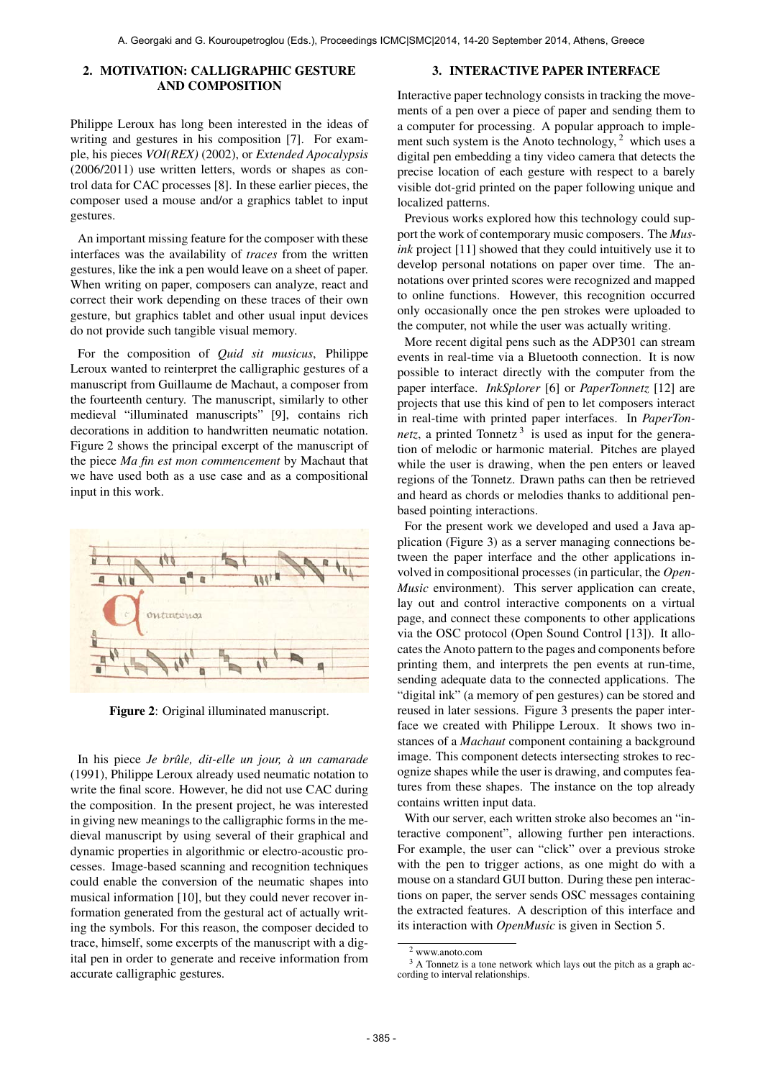## 2. MOTIVATION: CALLIGRAPHIC GESTURE AND COMPOSITION

## 3. INTERACTIVE PAPER INTERFACE

Philippe Leroux has long been interested in the ideas of writing and gestures in his composition [7]. For example, his pieces *VOI(REX)* (2002), or *Extended Apocalypsis* (2006/2011) use written letters, words or shapes as control data for CAC processes [8]. In these earlier pieces, the composer used a mouse and/or a graphics tablet to input gestures.

An important missing feature for the composer with these interfaces was the availability of *traces* from the written gestures, like the ink a pen would leave on a sheet of paper. When writing on paper, composers can analyze, react and correct their work depending on these traces of their own gesture, but graphics tablet and other usual input devices do not provide such tangible visual memory.

For the composition of *Quid sit musicus*, Philippe Leroux wanted to reinterpret the calligraphic gestures of a manuscript from Guillaume de Machaut, a composer from the fourteenth century. The manuscript, similarly to other medieval "illuminated manuscripts" [9], contains rich decorations in addition to handwritten neumatic notation. Figure 2 shows the principal excerpt of the manuscript of the piece *Ma fin est mon commencement* by Machaut that we have used both as a use case and as a compositional input in this work.



Figure 2: Original illuminated manuscript.

In his piece *Je brûle, dit-elle un jour, à un camarade* (1991), Philippe Leroux already used neumatic notation to write the final score. However, he did not use CAC during the composition. In the present project, he was interested in giving new meanings to the calligraphic forms in the medieval manuscript by using several of their graphical and dynamic properties in algorithmic or electro-acoustic processes. Image-based scanning and recognition techniques could enable the conversion of the neumatic shapes into musical information [10], but they could never recover information generated from the gestural act of actually writing the symbols. For this reason, the composer decided to trace, himself, some excerpts of the manuscript with a digital pen in order to generate and receive information from accurate calligraphic gestures.

Interactive paper technology consists in tracking the movements of a pen over a piece of paper and sending them to a computer for processing. A popular approach to implement such system is the Anoto technology,  $2$  which uses a digital pen embedding a tiny video camera that detects the precise location of each gesture with respect to a barely visible dot-grid printed on the paper following unique and localized patterns.

Previous works explored how this technology could support the work of contemporary music composers. The *Musink* project [11] showed that they could intuitively use it to develop personal notations on paper over time. The annotations over printed scores were recognized and mapped to online functions. However, this recognition occurred only occasionally once the pen strokes were uploaded to the computer, not while the user was actually writing.

More recent digital pens such as the ADP301 can stream events in real-time via a Bluetooth connection. It is now possible to interact directly with the computer from the paper interface. *InkSplorer* [6] or *PaperTonnetz* [12] are projects that use this kind of pen to let composers interact in real-time with printed paper interfaces. In *PaperTonnetz*, a printed Tonnetz<sup>3</sup> is used as input for the generation of melodic or harmonic material. Pitches are played while the user is drawing, when the pen enters or leaved regions of the Tonnetz. Drawn paths can then be retrieved and heard as chords or melodies thanks to additional penbased pointing interactions.

For the present work we developed and used a Java application (Figure 3) as a server managing connections between the paper interface and the other applications involved in compositional processes (in particular, the *Open-Music* environment). This server application can create, lay out and control interactive components on a virtual page, and connect these components to other applications via the OSC protocol (Open Sound Control [13]). It allocates the Anoto pattern to the pages and components before printing them, and interprets the pen events at run-time, sending adequate data to the connected applications. The "digital ink" (a memory of pen gestures) can be stored and reused in later sessions. Figure 3 presents the paper interface we created with Philippe Leroux. It shows two instances of a *Machaut* component containing a background image. This component detects intersecting strokes to recognize shapes while the user is drawing, and computes features from these shapes. The instance on the top already contains written input data.

With our server, each written stroke also becomes an "interactive component", allowing further pen interactions. For example, the user can "click" over a previous stroke with the pen to trigger actions, as one might do with a mouse on a standard GUI button. During these pen interactions on paper, the server sends OSC messages containing the extracted features. A description of this interface and its interaction with *OpenMusic* is given in Section 5.

<sup>2</sup> www.anoto.com

 $3$  A Tonnetz is a tone network which lays out the pitch as a graph according to interval relationships.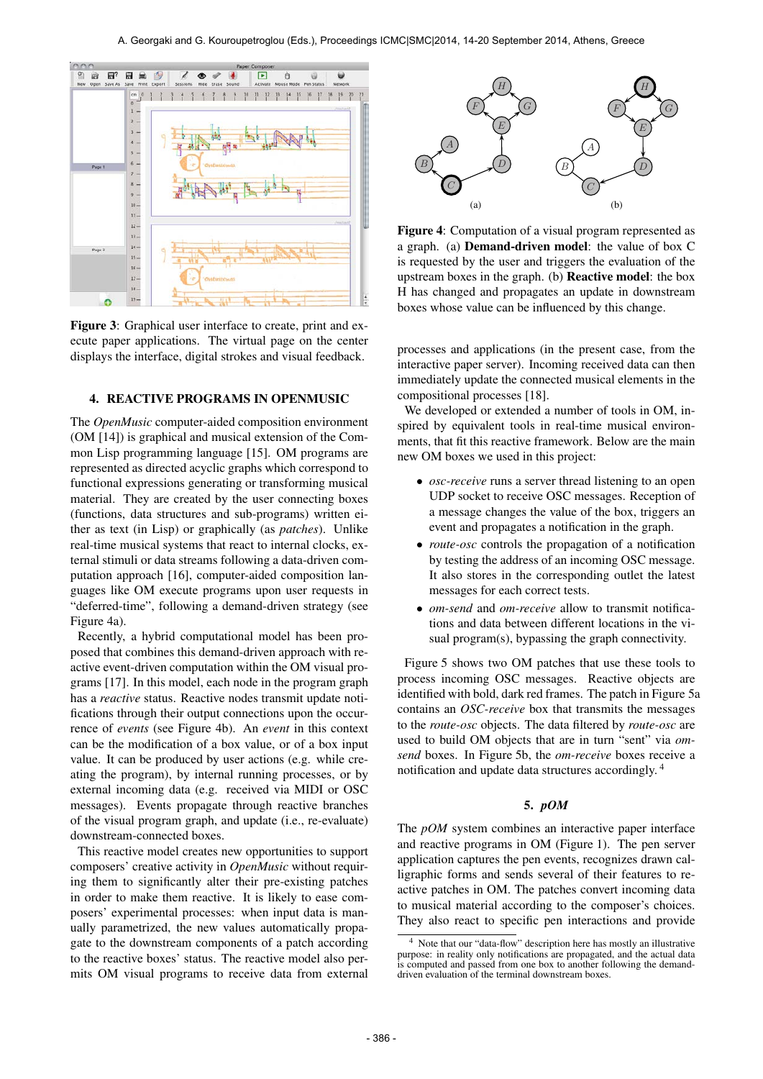

Figure 3: Graphical user interface to create, print and execute paper applications. The virtual page on the center displays the interface, digital strokes and visual feedback.

#### 4. REACTIVE PROGRAMS IN OPENMUSIC

The *OpenMusic* computer-aided composition environment (OM [14]) is graphical and musical extension of the Common Lisp programming language [15]. OM programs are represented as directed acyclic graphs which correspond to functional expressions generating or transforming musical material. They are created by the user connecting boxes (functions, data structures and sub-programs) written either as text (in Lisp) or graphically (as *patches*). Unlike real-time musical systems that react to internal clocks, external stimuli or data streams following a data-driven computation approach [16], computer-aided composition languages like OM execute programs upon user requests in "deferred-time", following a demand-driven strategy (see Figure 4a).

Recently, a hybrid computational model has been proposed that combines this demand-driven approach with reactive event-driven computation within the OM visual programs [17]. In this model, each node in the program graph has a *reactive* status. Reactive nodes transmit update notifications through their output connections upon the occurrence of *events* (see Figure 4b). An *event* in this context can be the modification of a box value, or of a box input value. It can be produced by user actions (e.g. while creating the program), by internal running processes, or by external incoming data (e.g. received via MIDI or OSC messages). Events propagate through reactive branches of the visual program graph, and update (i.e., re-evaluate) downstream-connected boxes.

This reactive model creates new opportunities to support composers' creative activity in *OpenMusic* without requiring them to significantly alter their pre-existing patches in order to make them reactive. It is likely to ease composers' experimental processes: when input data is manually parametrized, the new values automatically propagate to the downstream components of a patch according to the reactive boxes' status. The reactive model also permits OM visual programs to receive data from external



Figure 4: Computation of a visual program represented as a graph. (a) Demand-driven model: the value of box C is requested by the user and triggers the evaluation of the upstream boxes in the graph. (b) Reactive model: the box H has changed and propagates an update in downstream boxes whose value can be influenced by this change.

processes and applications (in the present case, from the interactive paper server). Incoming received data can then immediately update the connected musical elements in the compositional processes [18].

We developed or extended a number of tools in OM, inspired by equivalent tools in real-time musical environments, that fit this reactive framework. Below are the main new OM boxes we used in this project:

- *osc-receive* runs a server thread listening to an open UDP socket to receive OSC messages. Reception of a message changes the value of the box, triggers an event and propagates a notification in the graph.
- *route-osc* controls the propagation of a notification by testing the address of an incoming OSC message. It also stores in the corresponding outlet the latest messages for each correct tests.
- *om-send* and *om-receive* allow to transmit notifications and data between different locations in the visual program(s), bypassing the graph connectivity.

Figure 5 shows two OM patches that use these tools to process incoming OSC messages. Reactive objects are identified with bold, dark red frames. The patch in Figure 5a contains an *OSC-receive* box that transmits the messages to the *route-osc* objects. The data filtered by *route-osc* are used to build OM objects that are in turn "sent" via *omsend* boxes. In Figure 5b, the *om-receive* boxes receive a notification and update data structures accordingly. 4

# 5. *pOM*

The *pOM* system combines an interactive paper interface and reactive programs in OM (Figure 1). The pen server application captures the pen events, recognizes drawn calligraphic forms and sends several of their features to reactive patches in OM. The patches convert incoming data to musical material according to the composer's choices. They also react to specific pen interactions and provide

<sup>4</sup> Note that our "data-flow" description here has mostly an illustrative purpose: in reality only notifications are propagated, and the actual data is computed and passed from one box to another following the demanddriven evaluation of the terminal downstream boxes.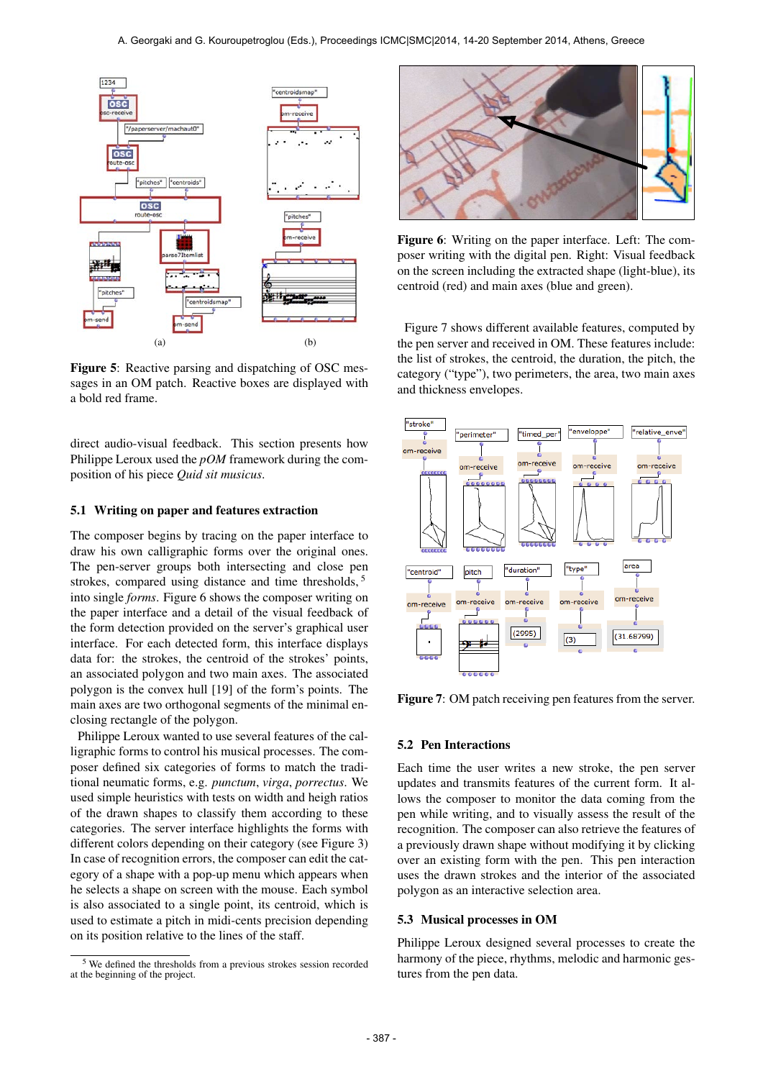

Figure 5: Reactive parsing and dispatching of OSC messages in an OM patch. Reactive boxes are displayed with a bold red frame.

direct audio-visual feedback. This section presents how Philippe Leroux used the *pOM* framework during the composition of his piece *Quid sit musicus*.

## 5.1 Writing on paper and features extraction

The composer begins by tracing on the paper interface to draw his own calligraphic forms over the original ones. The pen-server groups both intersecting and close pen strokes, compared using distance and time thresholds, <sup>5</sup> into single *forms*. Figure 6 shows the composer writing on the paper interface and a detail of the visual feedback of the form detection provided on the server's graphical user interface. For each detected form, this interface displays data for: the strokes, the centroid of the strokes' points, an associated polygon and two main axes. The associated polygon is the convex hull [19] of the form's points. The main axes are two orthogonal segments of the minimal enclosing rectangle of the polygon.

Philippe Leroux wanted to use several features of the calligraphic forms to control his musical processes. The composer defined six categories of forms to match the traditional neumatic forms, e.g. *punctum*, *virga*, *porrectus*. We used simple heuristics with tests on width and heigh ratios of the drawn shapes to classify them according to these categories. The server interface highlights the forms with different colors depending on their category (see Figure 3) In case of recognition errors, the composer can edit the category of a shape with a pop-up menu which appears when he selects a shape on screen with the mouse. Each symbol is also associated to a single point, its centroid, which is used to estimate a pitch in midi-cents precision depending on its position relative to the lines of the staff.



Figure 6: Writing on the paper interface. Left: The composer writing with the digital pen. Right: Visual feedback on the screen including the extracted shape (light-blue), its centroid (red) and main axes (blue and green).

Figure 7 shows different available features, computed by the pen server and received in OM. These features include: the list of strokes, the centroid, the duration, the pitch, the category ("type"), two perimeters, the area, two main axes and thickness envelopes.



Figure 7: OM patch receiving pen features from the server.

#### 5.2 Pen Interactions

Each time the user writes a new stroke, the pen server updates and transmits features of the current form. It allows the composer to monitor the data coming from the pen while writing, and to visually assess the result of the recognition. The composer can also retrieve the features of a previously drawn shape without modifying it by clicking over an existing form with the pen. This pen interaction uses the drawn strokes and the interior of the associated polygon as an interactive selection area.

#### 5.3 Musical processes in OM

Philippe Leroux designed several processes to create the harmony of the piece, rhythms, melodic and harmonic gestures from the pen data.

<sup>5</sup> We defined the thresholds from a previous strokes session recorded at the beginning of the project.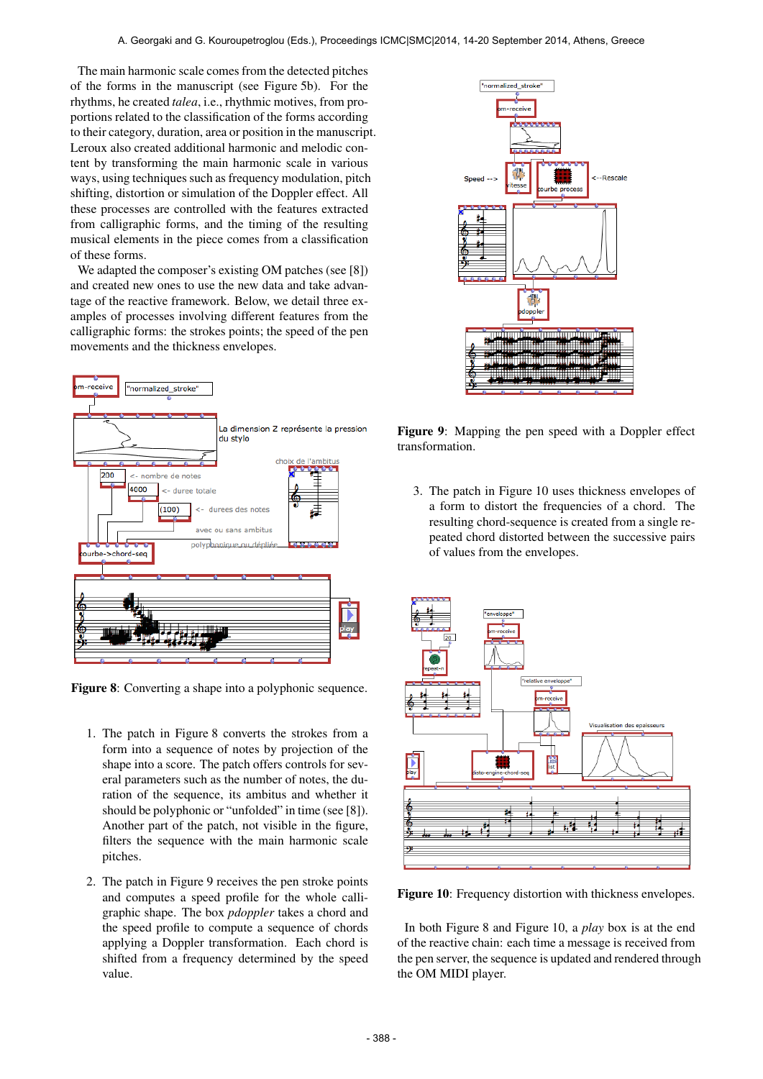The main harmonic scale comes from the detected pitches of the forms in the manuscript (see Figure 5b). For the rhythms, he created *talea*, i.e., rhythmic motives, from proportions related to the classification of the forms according to their category, duration, area or position in the manuscript. Leroux also created additional harmonic and melodic content by transforming the main harmonic scale in various ways, using techniques such as frequency modulation, pitch shifting, distortion or simulation of the Doppler effect. All these processes are controlled with the features extracted from calligraphic forms, and the timing of the resulting musical elements in the piece comes from a classification of these forms.

We adapted the composer's existing OM patches (see [8]) and created new ones to use the new data and take advantage of the reactive framework. Below, we detail three examples of processes involving different features from the calligraphic forms: the strokes points; the speed of the pen movements and the thickness envelopes.



Figure 8: Converting a shape into a polyphonic sequence.

- 1. The patch in Figure 8 converts the strokes from a form into a sequence of notes by projection of the shape into a score. The patch offers controls for several parameters such as the number of notes, the duration of the sequence, its ambitus and whether it should be polyphonic or "unfolded" in time (see [8]). Another part of the patch, not visible in the figure, filters the sequence with the main harmonic scale pitches.
- 2. The patch in Figure 9 receives the pen stroke points and computes a speed profile for the whole calligraphic shape. The box *pdoppler* takes a chord and the speed profile to compute a sequence of chords applying a Doppler transformation. Each chord is shifted from a frequency determined by the speed value.



Figure 9: Mapping the pen speed with a Doppler effect transformation.

3. The patch in Figure 10 uses thickness envelopes of a form to distort the frequencies of a chord. The resulting chord-sequence is created from a single repeated chord distorted between the successive pairs of values from the envelopes.



Figure 10: Frequency distortion with thickness envelopes.

In both Figure 8 and Figure 10, a *play* box is at the end of the reactive chain: each time a message is received from the pen server, the sequence is updated and rendered through the OM MIDI player.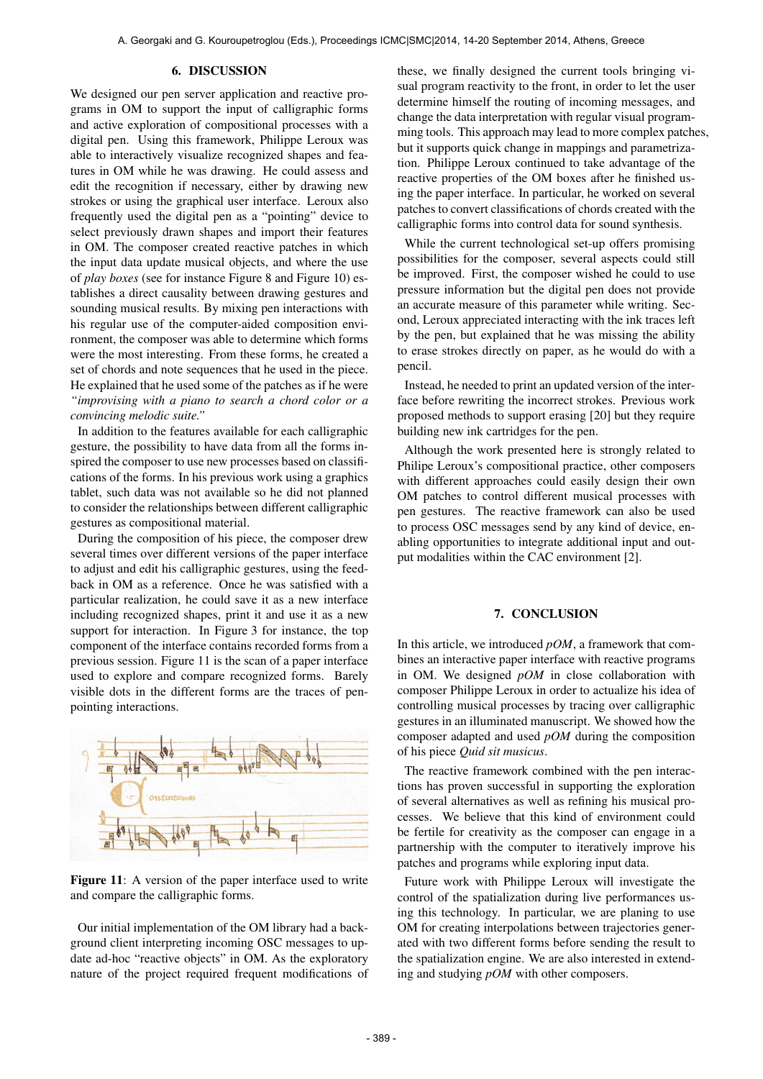#### 6. DISCUSSION

We designed our pen server application and reactive programs in OM to support the input of calligraphic forms and active exploration of compositional processes with a digital pen. Using this framework, Philippe Leroux was able to interactively visualize recognized shapes and features in OM while he was drawing. He could assess and edit the recognition if necessary, either by drawing new strokes or using the graphical user interface. Leroux also frequently used the digital pen as a "pointing" device to select previously drawn shapes and import their features in OM. The composer created reactive patches in which the input data update musical objects, and where the use of *play boxes* (see for instance Figure 8 and Figure 10) establishes a direct causality between drawing gestures and sounding musical results. By mixing pen interactions with his regular use of the computer-aided composition environment, the composer was able to determine which forms were the most interesting. From these forms, he created a set of chords and note sequences that he used in the piece. He explained that he used some of the patches as if he were *"improvising with a piano to search a chord color or a convincing melodic suite."*

In addition to the features available for each calligraphic gesture, the possibility to have data from all the forms inspired the composer to use new processes based on classifications of the forms. In his previous work using a graphics tablet, such data was not available so he did not planned to consider the relationships between different calligraphic gestures as compositional material.

During the composition of his piece, the composer drew several times over different versions of the paper interface to adjust and edit his calligraphic gestures, using the feedback in OM as a reference. Once he was satisfied with a particular realization, he could save it as a new interface including recognized shapes, print it and use it as a new support for interaction. In Figure 3 for instance, the top component of the interface contains recorded forms from a previous session. Figure 11 is the scan of a paper interface used to explore and compare recognized forms. Barely visible dots in the different forms are the traces of penpointing interactions.



Figure 11: A version of the paper interface used to write and compare the calligraphic forms.

Our initial implementation of the OM library had a background client interpreting incoming OSC messages to update ad-hoc "reactive objects" in OM. As the exploratory nature of the project required frequent modifications of these, we finally designed the current tools bringing visual program reactivity to the front, in order to let the user determine himself the routing of incoming messages, and change the data interpretation with regular visual programming tools. This approach may lead to more complex patches, but it supports quick change in mappings and parametrization. Philippe Leroux continued to take advantage of the reactive properties of the OM boxes after he finished using the paper interface. In particular, he worked on several patches to convert classifications of chords created with the calligraphic forms into control data for sound synthesis.

While the current technological set-up offers promising possibilities for the composer, several aspects could still be improved. First, the composer wished he could to use pressure information but the digital pen does not provide an accurate measure of this parameter while writing. Second, Leroux appreciated interacting with the ink traces left by the pen, but explained that he was missing the ability to erase strokes directly on paper, as he would do with a pencil.

Instead, he needed to print an updated version of the interface before rewriting the incorrect strokes. Previous work proposed methods to support erasing [20] but they require building new ink cartridges for the pen.

Although the work presented here is strongly related to Philipe Leroux's compositional practice, other composers with different approaches could easily design their own OM patches to control different musical processes with pen gestures. The reactive framework can also be used to process OSC messages send by any kind of device, enabling opportunities to integrate additional input and output modalities within the CAC environment [2].

#### 7. CONCLUSION

In this article, we introduced *pOM*, a framework that combines an interactive paper interface with reactive programs in OM. We designed *pOM* in close collaboration with composer Philippe Leroux in order to actualize his idea of controlling musical processes by tracing over calligraphic gestures in an illuminated manuscript. We showed how the composer adapted and used *pOM* during the composition of his piece *Quid sit musicus*.

The reactive framework combined with the pen interactions has proven successful in supporting the exploration of several alternatives as well as refining his musical processes. We believe that this kind of environment could be fertile for creativity as the composer can engage in a partnership with the computer to iteratively improve his patches and programs while exploring input data.

Future work with Philippe Leroux will investigate the control of the spatialization during live performances using this technology. In particular, we are planing to use OM for creating interpolations between trajectories generated with two different forms before sending the result to the spatialization engine. We are also interested in extending and studying *pOM* with other composers.